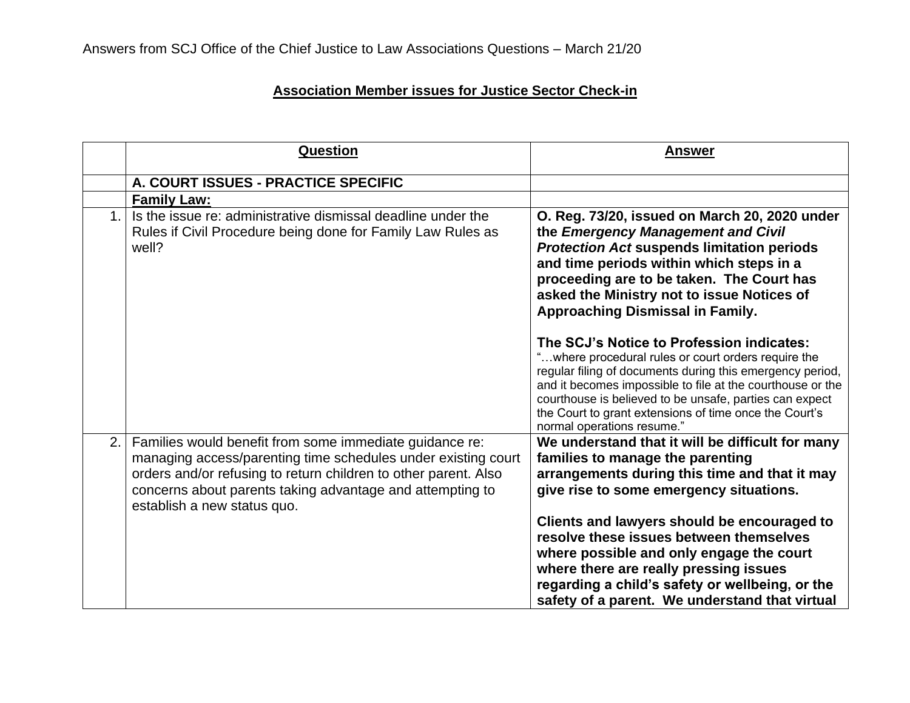## **Association Member issues for Justice Sector Check-in**

|               | <b>Question</b>                                                                                                                                                                                                                                                                         | <u>Answer</u>                                                                                                                                                                                                                                                                                                                                                                  |
|---------------|-----------------------------------------------------------------------------------------------------------------------------------------------------------------------------------------------------------------------------------------------------------------------------------------|--------------------------------------------------------------------------------------------------------------------------------------------------------------------------------------------------------------------------------------------------------------------------------------------------------------------------------------------------------------------------------|
|               | A. COURT ISSUES - PRACTICE SPECIFIC                                                                                                                                                                                                                                                     |                                                                                                                                                                                                                                                                                                                                                                                |
|               | <b>Family Law:</b>                                                                                                                                                                                                                                                                      |                                                                                                                                                                                                                                                                                                                                                                                |
| $\mathbf 1$ . | Is the issue re: administrative dismissal deadline under the<br>Rules if Civil Procedure being done for Family Law Rules as<br>well?                                                                                                                                                    | O. Reg. 73/20, issued on March 20, 2020 under<br>the Emergency Management and Civil<br><b>Protection Act suspends limitation periods</b><br>and time periods within which steps in a<br>proceeding are to be taken. The Court has<br>asked the Ministry not to issue Notices of<br><b>Approaching Dismissal in Family.</b>                                                     |
|               |                                                                                                                                                                                                                                                                                         | The SCJ's Notice to Profession indicates:<br>"where procedural rules or court orders require the<br>regular filing of documents during this emergency period,<br>and it becomes impossible to file at the courthouse or the<br>courthouse is believed to be unsafe, parties can expect<br>the Court to grant extensions of time once the Court's<br>normal operations resume." |
| 2.            | Families would benefit from some immediate guidance re:<br>managing access/parenting time schedules under existing court<br>orders and/or refusing to return children to other parent. Also<br>concerns about parents taking advantage and attempting to<br>establish a new status quo. | We understand that it will be difficult for many<br>families to manage the parenting<br>arrangements during this time and that it may<br>give rise to some emergency situations.<br>Clients and lawyers should be encouraged to<br>resolve these issues between themselves                                                                                                     |
|               |                                                                                                                                                                                                                                                                                         | where possible and only engage the court<br>where there are really pressing issues<br>regarding a child's safety or wellbeing, or the<br>safety of a parent. We understand that virtual                                                                                                                                                                                        |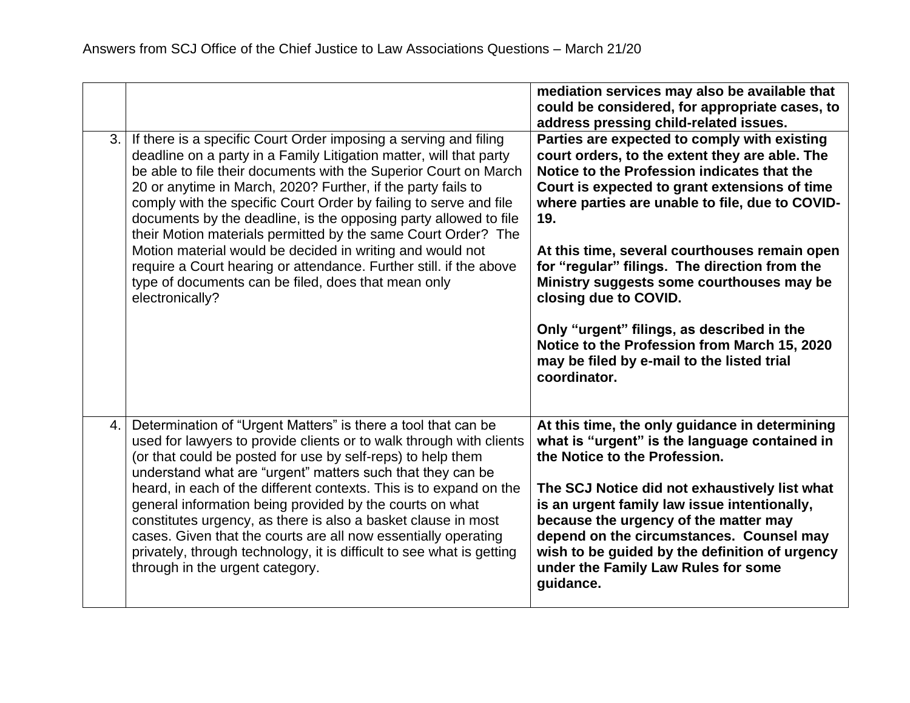|    |                                                                                                                                                                                                                                                                                                                                                                                                                                                                                                                                                                                                                                                                                                   | mediation services may also be available that<br>could be considered, for appropriate cases, to<br>address pressing child-related issues.                                                                                                                                                                                                                                                                                                                                                                                                                                                    |
|----|---------------------------------------------------------------------------------------------------------------------------------------------------------------------------------------------------------------------------------------------------------------------------------------------------------------------------------------------------------------------------------------------------------------------------------------------------------------------------------------------------------------------------------------------------------------------------------------------------------------------------------------------------------------------------------------------------|----------------------------------------------------------------------------------------------------------------------------------------------------------------------------------------------------------------------------------------------------------------------------------------------------------------------------------------------------------------------------------------------------------------------------------------------------------------------------------------------------------------------------------------------------------------------------------------------|
| 3. | If there is a specific Court Order imposing a serving and filing<br>deadline on a party in a Family Litigation matter, will that party<br>be able to file their documents with the Superior Court on March<br>20 or anytime in March, 2020? Further, if the party fails to<br>comply with the specific Court Order by failing to serve and file<br>documents by the deadline, is the opposing party allowed to file<br>their Motion materials permitted by the same Court Order? The<br>Motion material would be decided in writing and would not<br>require a Court hearing or attendance. Further still. if the above<br>type of documents can be filed, does that mean only<br>electronically? | Parties are expected to comply with existing<br>court orders, to the extent they are able. The<br>Notice to the Profession indicates that the<br>Court is expected to grant extensions of time<br>where parties are unable to file, due to COVID-<br>19.<br>At this time, several courthouses remain open<br>for "regular" filings. The direction from the<br>Ministry suggests some courthouses may be<br>closing due to COVID.<br>Only "urgent" filings, as described in the<br>Notice to the Profession from March 15, 2020<br>may be filed by e-mail to the listed trial<br>coordinator. |
| 4. | Determination of "Urgent Matters" is there a tool that can be<br>used for lawyers to provide clients or to walk through with clients<br>(or that could be posted for use by self-reps) to help them<br>understand what are "urgent" matters such that they can be<br>heard, in each of the different contexts. This is to expand on the<br>general information being provided by the courts on what<br>constitutes urgency, as there is also a basket clause in most<br>cases. Given that the courts are all now essentially operating<br>privately, through technology, it is difficult to see what is getting<br>through in the urgent category.                                                | At this time, the only guidance in determining<br>what is "urgent" is the language contained in<br>the Notice to the Profession.<br>The SCJ Notice did not exhaustively list what<br>is an urgent family law issue intentionally,<br>because the urgency of the matter may<br>depend on the circumstances. Counsel may<br>wish to be guided by the definition of urgency<br>under the Family Law Rules for some<br>guidance.                                                                                                                                                                 |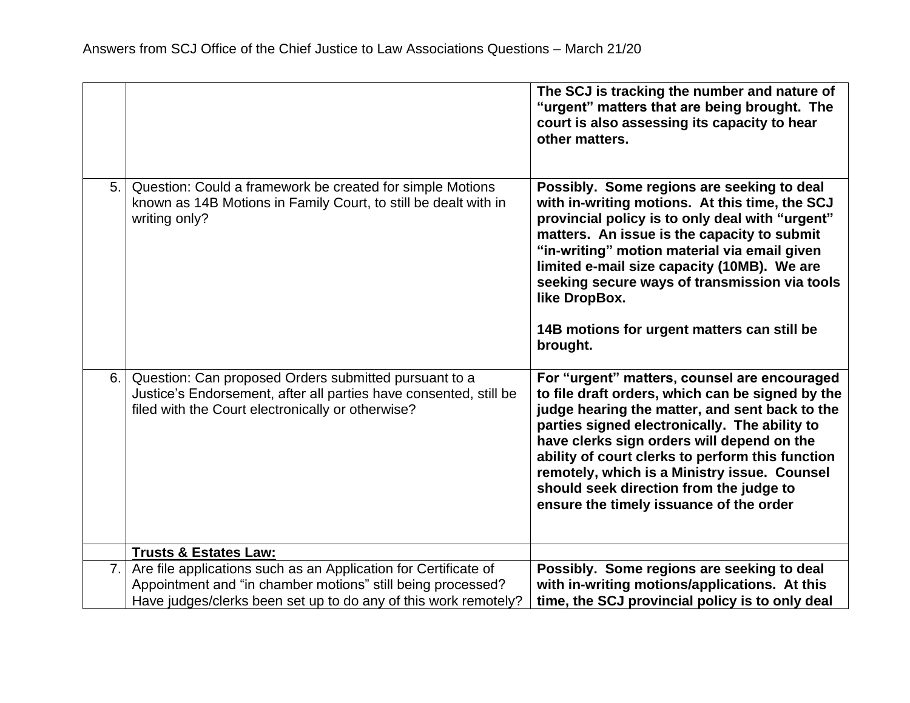|    |                                                                                                                                                                                                   | The SCJ is tracking the number and nature of<br>"urgent" matters that are being brought. The<br>court is also assessing its capacity to hear<br>other matters.                                                                                                                                                                                                                                                                              |
|----|---------------------------------------------------------------------------------------------------------------------------------------------------------------------------------------------------|---------------------------------------------------------------------------------------------------------------------------------------------------------------------------------------------------------------------------------------------------------------------------------------------------------------------------------------------------------------------------------------------------------------------------------------------|
| 5. | Question: Could a framework be created for simple Motions<br>known as 14B Motions in Family Court, to still be dealt with in<br>writing only?                                                     | Possibly. Some regions are seeking to deal<br>with in-writing motions. At this time, the SCJ<br>provincial policy is to only deal with "urgent"<br>matters. An issue is the capacity to submit<br>"in-writing" motion material via email given<br>limited e-mail size capacity (10MB). We are<br>seeking secure ways of transmission via tools<br>like DropBox.<br>14B motions for urgent matters can still be<br>brought.                  |
| 6. | Question: Can proposed Orders submitted pursuant to a<br>Justice's Endorsement, after all parties have consented, still be<br>filed with the Court electronically or otherwise?                   | For "urgent" matters, counsel are encouraged<br>to file draft orders, which can be signed by the<br>judge hearing the matter, and sent back to the<br>parties signed electronically. The ability to<br>have clerks sign orders will depend on the<br>ability of court clerks to perform this function<br>remotely, which is a Ministry issue. Counsel<br>should seek direction from the judge to<br>ensure the timely issuance of the order |
|    | <b>Trusts &amp; Estates Law:</b>                                                                                                                                                                  |                                                                                                                                                                                                                                                                                                                                                                                                                                             |
| 7. | Are file applications such as an Application for Certificate of<br>Appointment and "in chamber motions" still being processed?<br>Have judges/clerks been set up to do any of this work remotely? | Possibly. Some regions are seeking to deal<br>with in-writing motions/applications. At this<br>time, the SCJ provincial policy is to only deal                                                                                                                                                                                                                                                                                              |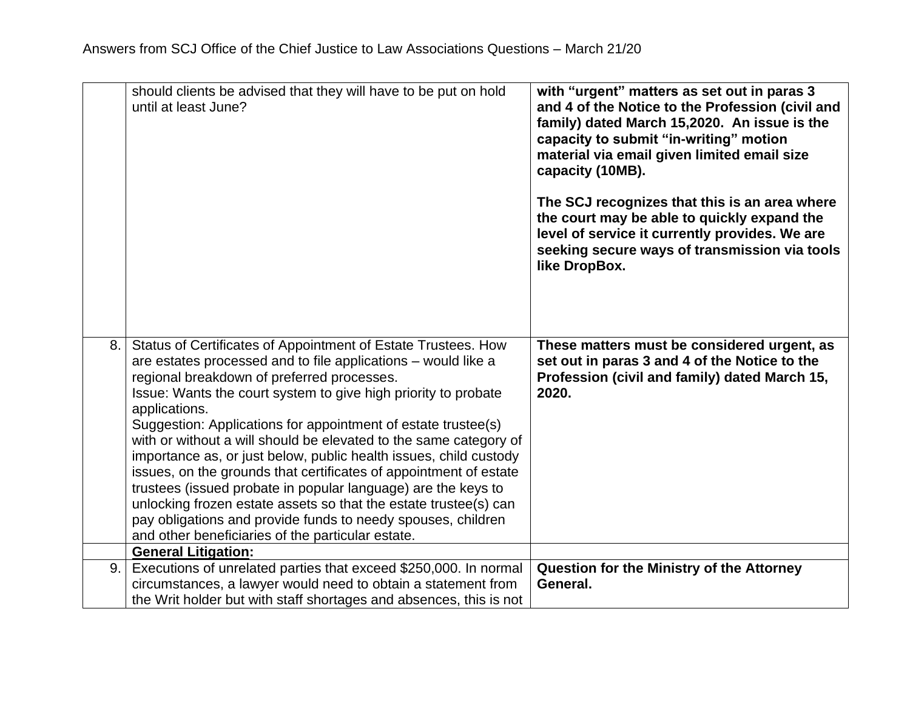|    | should clients be advised that they will have to be put on hold<br>until at least June?                                            | with "urgent" matters as set out in paras 3<br>and 4 of the Notice to the Profession (civil and<br>family) dated March 15,2020. An issue is the<br>capacity to submit "in-writing" motion<br>material via email given limited email size<br>capacity (10MB).<br>The SCJ recognizes that this is an area where<br>the court may be able to quickly expand the<br>level of service it currently provides. We are<br>seeking secure ways of transmission via tools<br>like DropBox. |
|----|------------------------------------------------------------------------------------------------------------------------------------|----------------------------------------------------------------------------------------------------------------------------------------------------------------------------------------------------------------------------------------------------------------------------------------------------------------------------------------------------------------------------------------------------------------------------------------------------------------------------------|
| 8. | Status of Certificates of Appointment of Estate Trustees. How<br>are estates processed and to file applications – would like a     | These matters must be considered urgent, as<br>set out in paras 3 and 4 of the Notice to the                                                                                                                                                                                                                                                                                                                                                                                     |
|    | regional breakdown of preferred processes.                                                                                         | Profession (civil and family) dated March 15,                                                                                                                                                                                                                                                                                                                                                                                                                                    |
|    | Issue: Wants the court system to give high priority to probate<br>applications.                                                    | 2020.                                                                                                                                                                                                                                                                                                                                                                                                                                                                            |
|    | Suggestion: Applications for appointment of estate trustee(s)                                                                      |                                                                                                                                                                                                                                                                                                                                                                                                                                                                                  |
|    | with or without a will should be elevated to the same category of                                                                  |                                                                                                                                                                                                                                                                                                                                                                                                                                                                                  |
|    | importance as, or just below, public health issues, child custody                                                                  |                                                                                                                                                                                                                                                                                                                                                                                                                                                                                  |
|    | issues, on the grounds that certificates of appointment of estate<br>trustees (issued probate in popular language) are the keys to |                                                                                                                                                                                                                                                                                                                                                                                                                                                                                  |
|    | unlocking frozen estate assets so that the estate trustee(s) can                                                                   |                                                                                                                                                                                                                                                                                                                                                                                                                                                                                  |
|    | pay obligations and provide funds to needy spouses, children                                                                       |                                                                                                                                                                                                                                                                                                                                                                                                                                                                                  |
|    | and other beneficiaries of the particular estate.                                                                                  |                                                                                                                                                                                                                                                                                                                                                                                                                                                                                  |
|    | <b>General Litigation:</b>                                                                                                         |                                                                                                                                                                                                                                                                                                                                                                                                                                                                                  |
| 9. | Executions of unrelated parties that exceed \$250,000. In normal                                                                   | Question for the Ministry of the Attorney                                                                                                                                                                                                                                                                                                                                                                                                                                        |
|    | circumstances, a lawyer would need to obtain a statement from                                                                      | General.                                                                                                                                                                                                                                                                                                                                                                                                                                                                         |
|    | the Writ holder but with staff shortages and absences, this is not                                                                 |                                                                                                                                                                                                                                                                                                                                                                                                                                                                                  |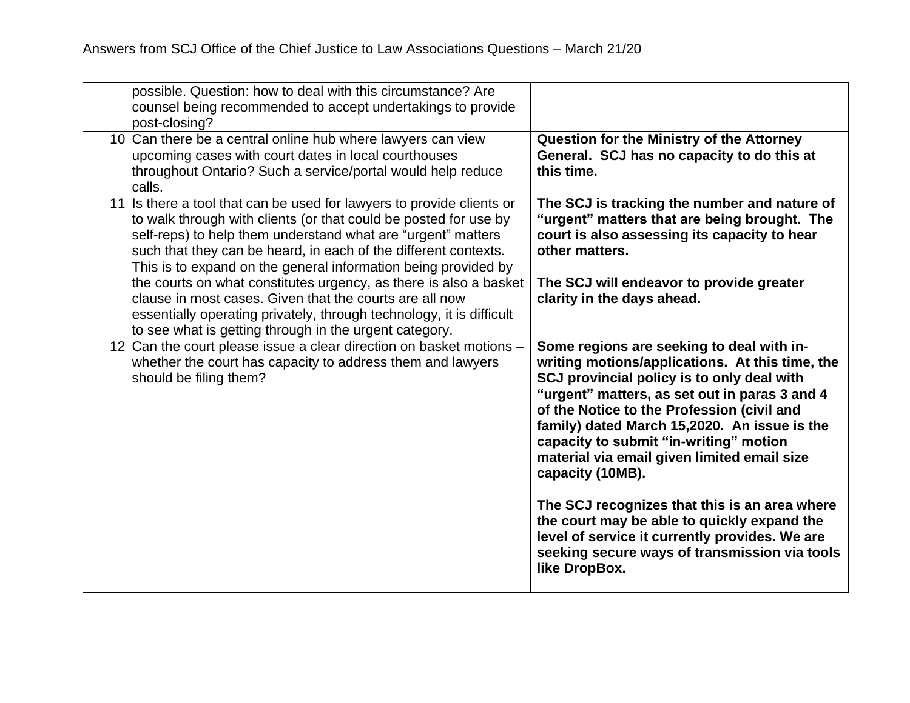| possible. Question: how to deal with this circumstance? Are<br>counsel being recommended to accept undertakings to provide<br>post-closing?                                                                                                                                                                                                    |                                                                                                                                                                                                                                                                                                                                                                                                        |
|------------------------------------------------------------------------------------------------------------------------------------------------------------------------------------------------------------------------------------------------------------------------------------------------------------------------------------------------|--------------------------------------------------------------------------------------------------------------------------------------------------------------------------------------------------------------------------------------------------------------------------------------------------------------------------------------------------------------------------------------------------------|
| 10 Can there be a central online hub where lawyers can view<br>upcoming cases with court dates in local courthouses<br>throughout Ontario? Such a service/portal would help reduce<br>calls.                                                                                                                                                   | <b>Question for the Ministry of the Attorney</b><br>General. SCJ has no capacity to do this at<br>this time.                                                                                                                                                                                                                                                                                           |
| 11 Is there a tool that can be used for lawyers to provide clients or<br>to walk through with clients (or that could be posted for use by<br>self-reps) to help them understand what are "urgent" matters<br>such that they can be heard, in each of the different contexts.<br>This is to expand on the general information being provided by | The SCJ is tracking the number and nature of<br>"urgent" matters that are being brought. The<br>court is also assessing its capacity to hear<br>other matters.                                                                                                                                                                                                                                         |
| the courts on what constitutes urgency, as there is also a basket<br>clause in most cases. Given that the courts are all now<br>essentially operating privately, through technology, it is difficult<br>to see what is getting through in the urgent category.                                                                                 | The SCJ will endeavor to provide greater<br>clarity in the days ahead.                                                                                                                                                                                                                                                                                                                                 |
| 12 Can the court please issue a clear direction on basket motions -<br>whether the court has capacity to address them and lawyers<br>should be filing them?                                                                                                                                                                                    | Some regions are seeking to deal with in-<br>writing motions/applications. At this time, the<br>SCJ provincial policy is to only deal with<br>"urgent" matters, as set out in paras 3 and 4<br>of the Notice to the Profession (civil and<br>family) dated March 15,2020. An issue is the<br>capacity to submit "in-writing" motion<br>material via email given limited email size<br>capacity (10MB). |
|                                                                                                                                                                                                                                                                                                                                                | The SCJ recognizes that this is an area where<br>the court may be able to quickly expand the<br>level of service it currently provides. We are<br>seeking secure ways of transmission via tools<br>like DropBox.                                                                                                                                                                                       |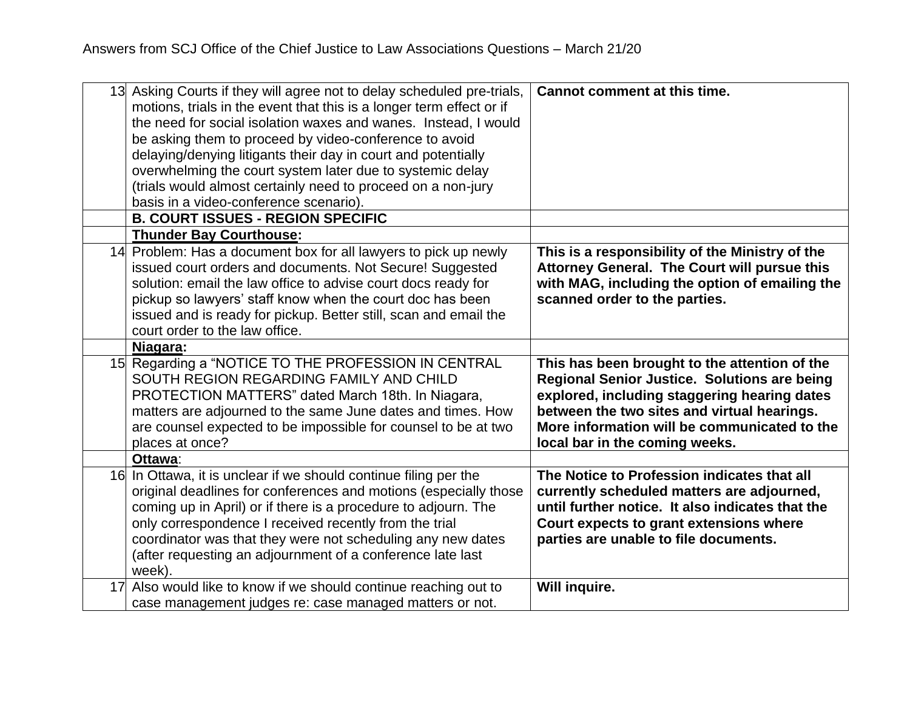| 13 | Asking Courts if they will agree not to delay scheduled pre-trials,<br>motions, trials in the event that this is a longer term effect or if<br>the need for social isolation waxes and wanes. Instead, I would<br>be asking them to proceed by video-conference to avoid<br>delaying/denying litigants their day in court and potentially<br>overwhelming the court system later due to systemic delay<br>(trials would almost certainly need to proceed on a non-jury<br>basis in a video-conference scenario).<br><b>B. COURT ISSUES - REGION SPECIFIC</b> | <b>Cannot comment at this time.</b>                                                                                                                                                                                                                                            |
|----|--------------------------------------------------------------------------------------------------------------------------------------------------------------------------------------------------------------------------------------------------------------------------------------------------------------------------------------------------------------------------------------------------------------------------------------------------------------------------------------------------------------------------------------------------------------|--------------------------------------------------------------------------------------------------------------------------------------------------------------------------------------------------------------------------------------------------------------------------------|
|    | <b>Thunder Bay Courthouse:</b><br>14 Problem: Has a document box for all lawyers to pick up newly<br>issued court orders and documents. Not Secure! Suggested<br>solution: email the law office to advise court docs ready for<br>pickup so lawyers' staff know when the court doc has been<br>issued and is ready for pickup. Better still, scan and email the<br>court order to the law office.                                                                                                                                                            | This is a responsibility of the Ministry of the<br>Attorney General. The Court will pursue this<br>with MAG, including the option of emailing the<br>scanned order to the parties.                                                                                             |
|    | Niagara:<br>15 Regarding a "NOTICE TO THE PROFESSION IN CENTRAL<br>SOUTH REGION REGARDING FAMILY AND CHILD<br>PROTECTION MATTERS" dated March 18th. In Niagara,<br>matters are adjourned to the same June dates and times. How<br>are counsel expected to be impossible for counsel to be at two<br>places at once?<br>Ottawa:                                                                                                                                                                                                                               | This has been brought to the attention of the<br>Regional Senior Justice. Solutions are being<br>explored, including staggering hearing dates<br>between the two sites and virtual hearings.<br>More information will be communicated to the<br>local bar in the coming weeks. |
|    | 16 In Ottawa, it is unclear if we should continue filing per the<br>original deadlines for conferences and motions (especially those<br>coming up in April) or if there is a procedure to adjourn. The<br>only correspondence I received recently from the trial<br>coordinator was that they were not scheduling any new dates<br>(after requesting an adjournment of a conference late last<br>week).                                                                                                                                                      | The Notice to Profession indicates that all<br>currently scheduled matters are adjourned,<br>until further notice. It also indicates that the<br>Court expects to grant extensions where<br>parties are unable to file documents.                                              |
| 17 | Also would like to know if we should continue reaching out to<br>case management judges re: case managed matters or not.                                                                                                                                                                                                                                                                                                                                                                                                                                     | Will inquire.                                                                                                                                                                                                                                                                  |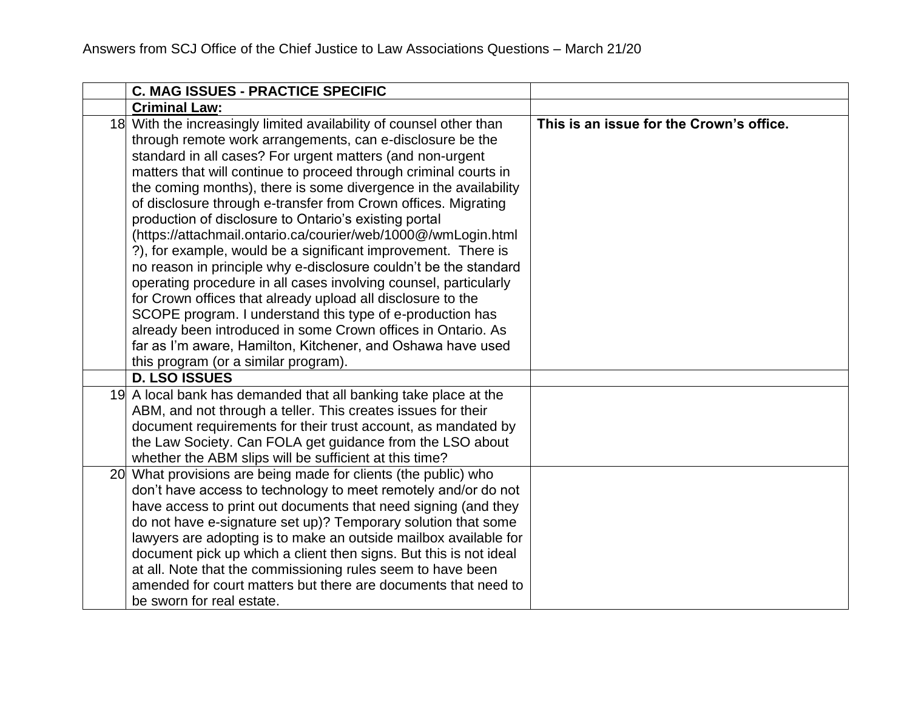| <b>C. MAG ISSUES - PRACTICE SPECIFIC</b>                                                                                                                                                                                                                                                                                                                                                                                                                                                                                                                                                                                                                                                                                                                                                                                                                                                                                                                                                                                                      |                                          |
|-----------------------------------------------------------------------------------------------------------------------------------------------------------------------------------------------------------------------------------------------------------------------------------------------------------------------------------------------------------------------------------------------------------------------------------------------------------------------------------------------------------------------------------------------------------------------------------------------------------------------------------------------------------------------------------------------------------------------------------------------------------------------------------------------------------------------------------------------------------------------------------------------------------------------------------------------------------------------------------------------------------------------------------------------|------------------------------------------|
| <b>Criminal Law:</b>                                                                                                                                                                                                                                                                                                                                                                                                                                                                                                                                                                                                                                                                                                                                                                                                                                                                                                                                                                                                                          |                                          |
| 18 With the increasingly limited availability of counsel other than<br>through remote work arrangements, can e-disclosure be the<br>standard in all cases? For urgent matters (and non-urgent<br>matters that will continue to proceed through criminal courts in<br>the coming months), there is some divergence in the availability<br>of disclosure through e-transfer from Crown offices. Migrating<br>production of disclosure to Ontario's existing portal<br>(https://attachmail.ontario.ca/courier/web/1000@/wmLogin.html<br>?), for example, would be a significant improvement. There is<br>no reason in principle why e-disclosure couldn't be the standard<br>operating procedure in all cases involving counsel, particularly<br>for Crown offices that already upload all disclosure to the<br>SCOPE program. I understand this type of e-production has<br>already been introduced in some Crown offices in Ontario. As<br>far as I'm aware, Hamilton, Kitchener, and Oshawa have used<br>this program (or a similar program). | This is an issue for the Crown's office. |
| <b>D. LSO ISSUES</b>                                                                                                                                                                                                                                                                                                                                                                                                                                                                                                                                                                                                                                                                                                                                                                                                                                                                                                                                                                                                                          |                                          |
| 19 A local bank has demanded that all banking take place at the<br>ABM, and not through a teller. This creates issues for their<br>document requirements for their trust account, as mandated by<br>the Law Society. Can FOLA get guidance from the LSO about<br>whether the ABM slips will be sufficient at this time?                                                                                                                                                                                                                                                                                                                                                                                                                                                                                                                                                                                                                                                                                                                       |                                          |
| 20 What provisions are being made for clients (the public) who<br>don't have access to technology to meet remotely and/or do not<br>have access to print out documents that need signing (and they<br>do not have e-signature set up)? Temporary solution that some<br>lawyers are adopting is to make an outside mailbox available for<br>document pick up which a client then signs. But this is not ideal<br>at all. Note that the commissioning rules seem to have been<br>amended for court matters but there are documents that need to<br>be sworn for real estate.                                                                                                                                                                                                                                                                                                                                                                                                                                                                    |                                          |